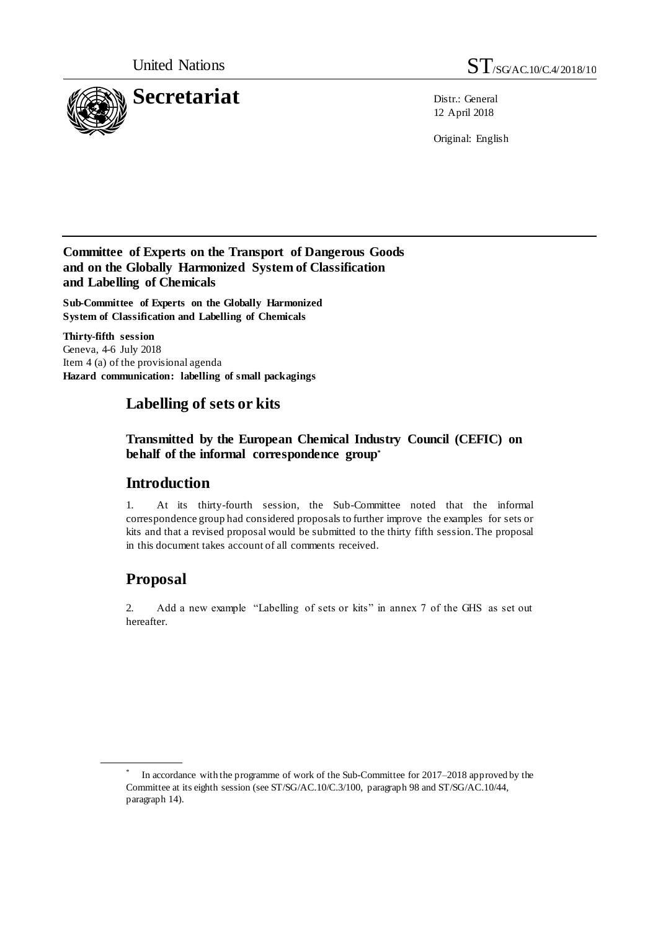

12 April 2018

Original: English

### **Committee of Experts on the Transport of Dangerous Goods and on the Globally Harmonized System of Classification and Labelling of Chemicals**

**Sub-Committee of Experts on the Globally Harmonized System of Classification and Labelling of Chemicals**

**Thirty-fifth session** Geneva, 4-6 July 2018 Item 4 (a) of the provisional agenda **Hazard communication: labelling of small packagings**

## **Labelling of sets or kits**

**Transmitted by the European Chemical Industry Council (CEFIC) on behalf of the informal correspondence group\***

## **Introduction**

1. At its thirty-fourth session, the Sub-Committee noted that the informal correspondence group had considered proposals to further improve the examples for sets or kits and that a revised proposal would be submitted to the thirty fifth session. The proposal in this document takes account of all comments received.

## **Proposal**

2. Add a new example "Labelling of sets or kits" in annex 7 of the GHS as set out hereafter.

<sup>\*</sup> In accordance with the programme of work of the Sub-Committee for 2017–2018 approved by the Committee at its eighth session (see ST/SG/AC.10/C.3/100, paragraph 98 and ST/SG/AC.10/44, paragraph 14).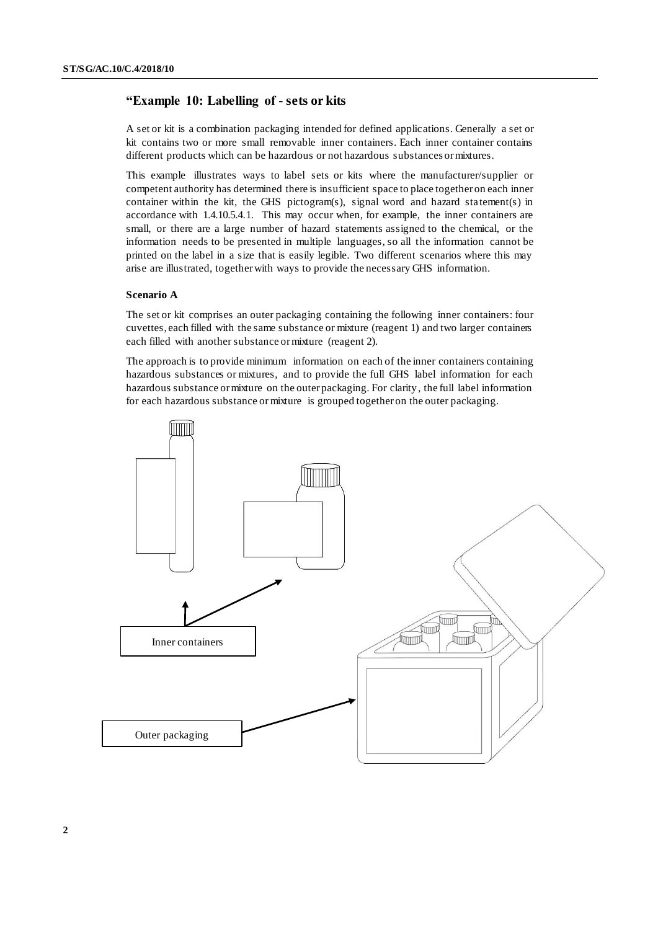#### **"Example 10: Labelling of - sets or kits**

A set or kit is a combination packaging intended for defined applications. Generally a set or kit contains two or more small removable inner containers. Each inner container contains different products which can be hazardous or not hazardous substances or mixtures.

This example illustrates ways to label sets or kits where the manufacturer/supplier or competent authority has determined there is insufficient space to place together on each inner container within the kit, the GHS pictogram(s), signal word and hazard statement(s) in accordance with 1.4.10.5.4.1. This may occur when, for example, the inner containers are small, or there are a large number of hazard statements assigned to the chemical, or the information needs to be presented in multiple languages, so all the information cannot be printed on the label in a size that is easily legible. Two different scenarios where this may arise are illustrated, together with ways to provide the necessary GHS information.

#### **Scenario A**

The set or kit comprises an outer packaging containing the following inner containers: four cuvettes, each filled with the same substance or mixture (reagent 1) and two larger containers each filled with another substance or mixture (reagent 2).

The approach is to provide minimum information on each of the inner containers containing hazardous substances or mixtures, and to provide the full GHS label information for each hazardous substance or mixture on the outer packaging. For clarity, the full label information for each hazardous substance or mixture is grouped together on the outer packaging.

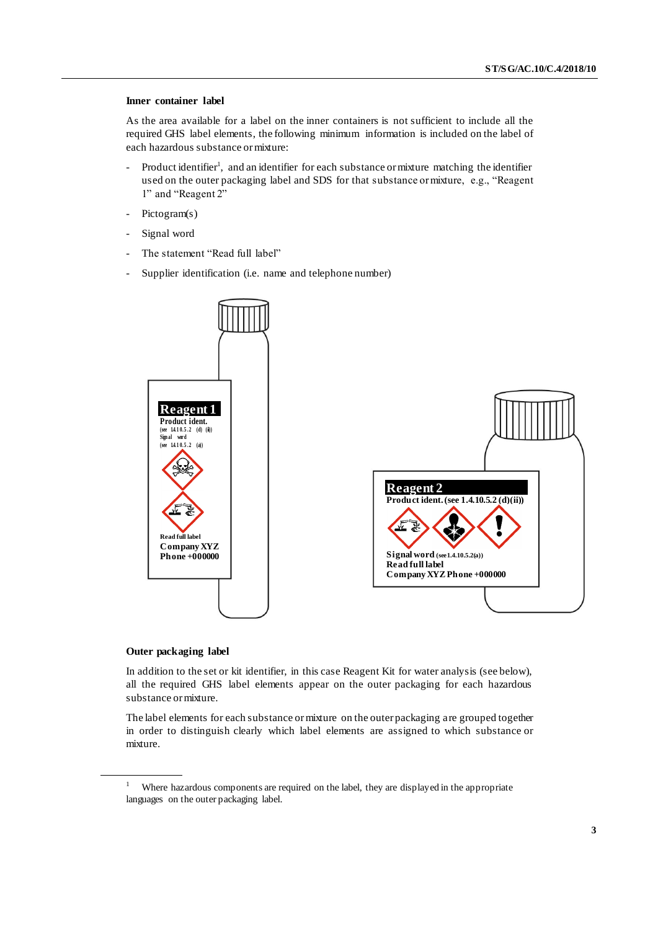#### **Inner container label**

As the area available for a label on the inner containers is not sufficient to include all the required GHS label elements, the following minimum information is included on the label of each hazardous substance or mixture:

- Product identifier<sup>1</sup>, and an identifier for each substance or mixture matching the identifier used on the outer packaging label and SDS for that substance or mixture, e.g., "Reagent 1" and "Reagent 2"
- Pictogram(s)
- Signal word
- The statement "Read full label"
- Supplier identification (i.e. name and telephone number)



#### **Outer packaging label**

In addition to the set or kit identifier, in this case Reagent Kit for water analysis (see below), all the required GHS label elements appear on the outer packaging for each hazardous substance or mixture.

The label elements for each substance or mixture on the outer packaging are grouped together in order to distinguish clearly which label elements are assigned to which substance or mixture.

<sup>&</sup>lt;sup>1</sup> Where hazardous components are required on the label, they are displayed in the appropriate languages on the outer packaging label.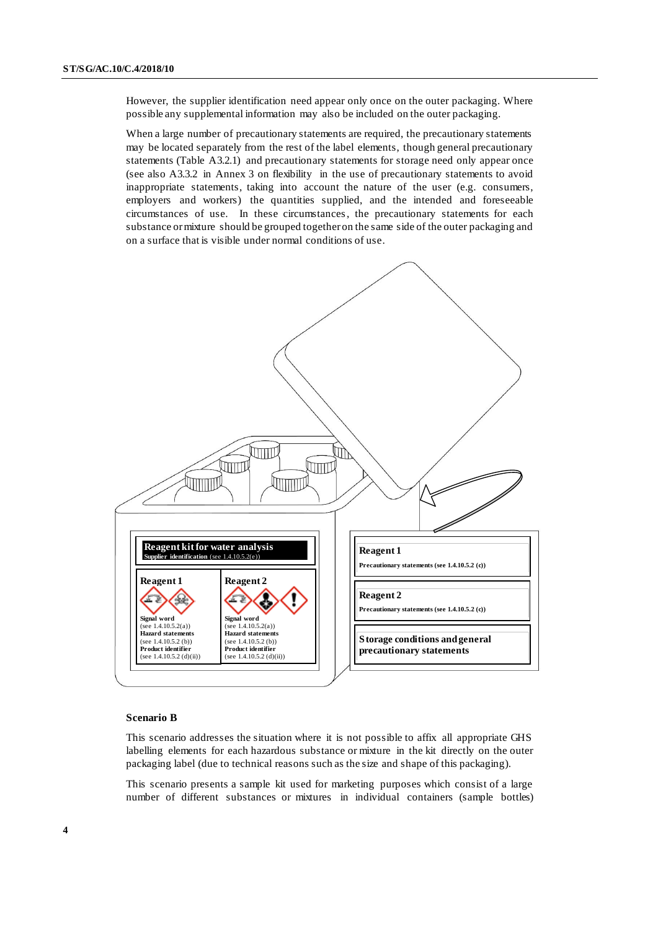However, the supplier identification need appear only once on the outer packaging. Where possible any supplemental information may also be included on the outer packaging.

When a large number of precautionary statements are required, the precautionary statements may be located separately from the rest of the label elements, though general precautionary statements (Table A3.2.1) and precautionary statements for storage need only appear once (see also A3.3.2 in Annex 3 on flexibility in the use of precautionary statements to avoid inappropriate statements, taking into account the nature of the user (e.g. consumers, employers and workers) the quantities supplied, and the intended and foreseeable circumstances of use. In these circumstances, the precautionary statements for each substance or mixture should be grouped together on the same side of the outer packaging and on a surface that is visible under normal conditions of use.



#### **Scenario B**

This scenario addresses the situation where it is not possible to affix all appropriate GHS labelling elements for each hazardous substance or mixture in the kit directly on the outer packaging label (due to technical reasons such as the size and shape of this packaging).

This scenario presents a sample kit used for marketing purposes which consist of a large number of different substances or mixtures in individual containers (sample bottles)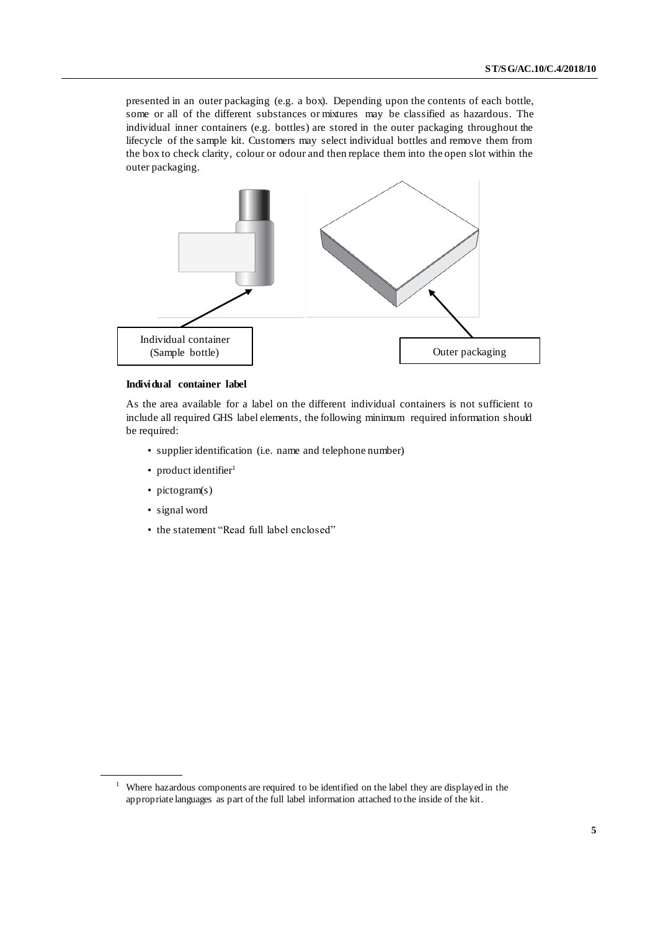presented in an outer packaging (e.g. a box). Depending upon the contents of each bottle, some or all of the different substances or mixtures may be classified as hazardous. The individual inner containers (e.g. bottles) are stored in the outer packaging throughout the lifecycle of the sample kit. Customers may select individual bottles and remove them from the box to check clarity, colour or odour and then replace them into the open slot within the outer packaging.



#### **Individual container label**

As the area available for a label on the different individual containers is not sufficient to include all required GHS label elements, the following minimum required information should be required:

- supplier identification (i.e. name and telephone number)
- product identifier<sup>1</sup>
- pictogram(s)
- signal word
- the statement "Read full label enclosed"

<sup>&</sup>lt;sup>1</sup> Where hazardous components are required to be identified on the label they are displayed in the appropriate languages as part of the full label information attached to the inside of the kit.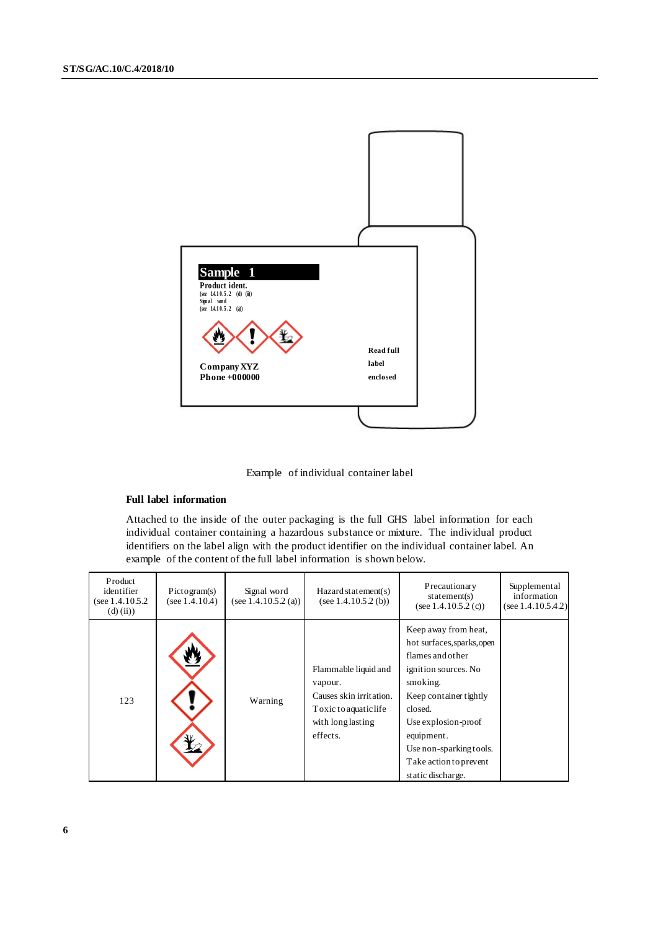

Example of individual container label

#### **Full label information**

Attached to the inside of the outer packaging is the full GHS label information for each individual container containing a hazardous substance or mixture. The individual product identifiers on the label align with the product identifier on the individual container label. An example of the content of the full label information is shown below.

| Product<br>identifier<br>(see $1.4.10.5.2$ )<br>$(d)$ (ii)) | Pictogram(s)<br>(see $1.4.10.4$ ) | Signal word<br>(see 1.4.10.5.2 (a)) | Hazard statement(s)<br>(see 1.4.10.5.2 (b))                                                                          | Precautionary<br>statement(s)<br>(see $1.4.10.5.2$ (c))                                                                                                                                                                                                        | Supplemental<br>information<br>(see $1.4.10.5.4.2$ ) |
|-------------------------------------------------------------|-----------------------------------|-------------------------------------|----------------------------------------------------------------------------------------------------------------------|----------------------------------------------------------------------------------------------------------------------------------------------------------------------------------------------------------------------------------------------------------------|------------------------------------------------------|
| 123                                                         |                                   | Warning                             | Flammable liquid and<br>vapour.<br>Causes skin irritation.<br>Toxic to aquatic life<br>with long lasting<br>effects. | Keep away from heat,<br>hot surfaces, sparks, open<br>flames and other<br>ignition sources. No<br>smoking.<br>Keep container tightly<br>closed.<br>Use explosion-proof<br>equipment.<br>Use non-sparking tools.<br>Take action to prevent<br>static discharge. |                                                      |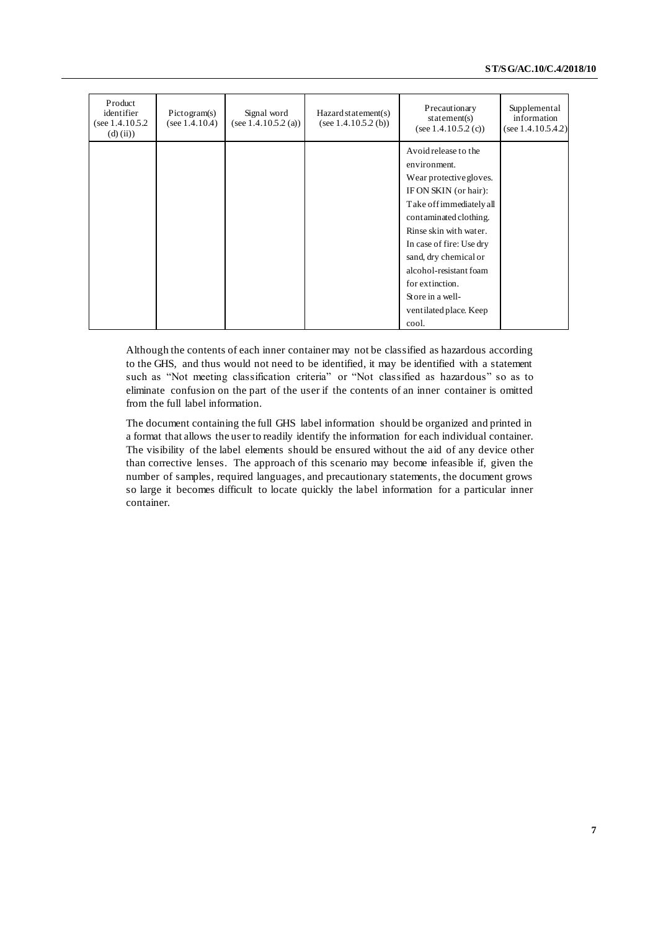| Product<br>identifier<br>(see $1.4.10.5.2$ )<br>$(d)$ (ii)) | Pictogram(s)<br>(see $1.4.10.4$ ) | Signal word<br>(see $1.4.10.5.2$ (a)) | Hazard statement(s)<br>(see $1.4.10.5.2$ (b)) | Precautionary<br>statement(s)<br>(see $1.4.10.5.2$ (c)) | Supplemental<br>information<br>(see 1.4.10.5.4.2) |
|-------------------------------------------------------------|-----------------------------------|---------------------------------------|-----------------------------------------------|---------------------------------------------------------|---------------------------------------------------|
|                                                             |                                   |                                       |                                               | Avoid release to the                                    |                                                   |
|                                                             |                                   |                                       |                                               | environment.                                            |                                                   |
|                                                             |                                   |                                       |                                               | Wear protective gloves.                                 |                                                   |
|                                                             |                                   |                                       |                                               | IF ON SKIN (or hair):                                   |                                                   |
|                                                             |                                   |                                       |                                               | Take off immediately all                                |                                                   |
|                                                             |                                   |                                       |                                               | contaminated clothing.                                  |                                                   |
|                                                             |                                   |                                       |                                               | Rinse skin with water.                                  |                                                   |
|                                                             |                                   |                                       |                                               | In case of fire: Use dry                                |                                                   |
|                                                             |                                   |                                       |                                               | sand, dry chemical or                                   |                                                   |
|                                                             |                                   |                                       |                                               | alcohol-resistant foam                                  |                                                   |
|                                                             |                                   |                                       |                                               | for extinction.                                         |                                                   |
|                                                             |                                   |                                       |                                               | Store in a well-                                        |                                                   |
|                                                             |                                   |                                       |                                               | ventilated place. Keep                                  |                                                   |
|                                                             |                                   |                                       |                                               |                                                         |                                                   |
|                                                             |                                   |                                       |                                               | cool.                                                   |                                                   |

Although the contents of each inner container may not be classified as hazardous according to the GHS, and thus would not need to be identified, it may be identified with a statement such as "Not meeting classification criteria" or "Not classified as hazardous" so as to eliminate confusion on the part of the user if the contents of an inner container is omitted from the full label information.

The document containing the full GHS label information should be organized and printed in a format that allows the user to readily identify the information for each individual container. The visibility of the label elements should be ensured without the aid of any device other than corrective lenses. The approach of this scenario may become infeasible if, given the number of samples, required languages, and precautionary statements, the document grows so large it becomes difficult to locate quickly the label information for a particular inner container.